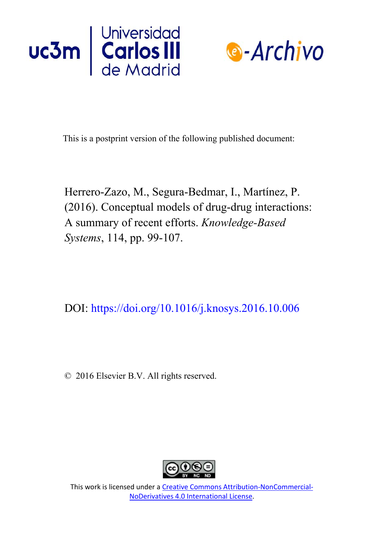



This is a postprint version of the following published document:

Herrero-Zazo, M., Segura-Bedmar, I., Martínez, P. (2016). Conceptual models of drug-drug interactions: A summary of recent efforts. *Knowledge-Based Systems*, 114, pp. 99-107.

DOI: <https://doi.org/10.1016/j.knosys.2016.10.006>

© 2016 Elsevier B.V. All rights reserved.



This work is licensed under a Creative [Commons Attribution-NonCommercial-](https://creativecommons.org/licenses/by-nc-nd/4.0/)NoDerivatives [4.0 International License.](https://creativecommons.org/licenses/by-nc-nd/4.0/)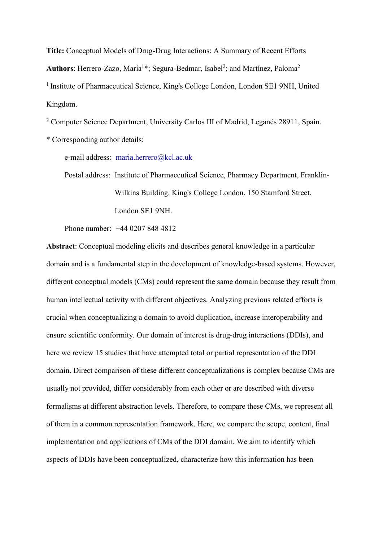**Title:** Conceptual Models of Drug-Drug Interactions: A Summary of Recent Efforts Authors: Herrero-Zazo, María<sup>1</sup>\*; Segura-Bedmar, Isabel<sup>2</sup>; and Martínez, Paloma<sup>2</sup> <sup>1</sup> Institute of Pharmaceutical Science, King's College London, London SE1 9NH, United Kingdom.

<sup>2</sup> Computer Science Department, University Carlos III of Madrid, Leganés 28911, Spain.

\* Corresponding author details:

e-mail address: [maria.herrero@kcl.ac.uk](mailto:maria.herrero@kcl.ac.uk)

Postal address: Institute of Pharmaceutical Science, Pharmacy Department, Franklin-Wilkins Building. King's College London. 150 Stamford Street. London SE1 9NH.

Phone number: +44 0207 848 4812

**Abstract**: Conceptual modeling elicits and describes general knowledge in a particular domain and is a fundamental step in the development of knowledge-based systems. However, different conceptual models (CMs) could represent the same domain because they result from human intellectual activity with different objectives. Analyzing previous related efforts is crucial when conceptualizing a domain to avoid duplication, increase interoperability and ensure scientific conformity. Our domain of interest is drug-drug interactions (DDIs), and here we review 15 studies that have attempted total or partial representation of the DDI domain. Direct comparison of these different conceptualizations is complex because CMs are usually not provided, differ considerably from each other or are described with diverse formalisms at different abstraction levels. Therefore, to compare these CMs, we represent all of them in a common representation framework. Here, we compare the scope, content, final implementation and applications of CMs of the DDI domain. We aim to identify which aspects of DDIs have been conceptualized, characterize how this information has been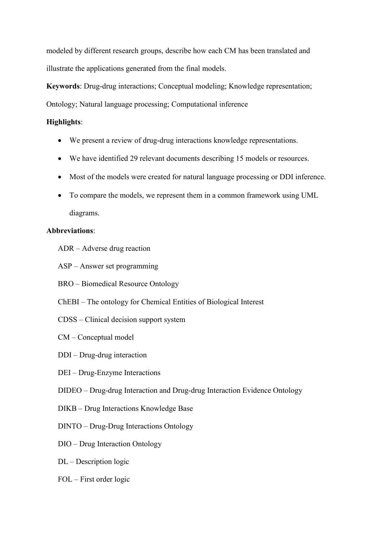modeled by different research groups, describe how each CM has been translated and illustrate the applications generated from the final models.

**Keywords**: Drug-drug interactions; Conceptual modeling; Knowledge representation; Ontology; Natural language processing; Computational inference

# **Highlights**:

- We present a review of drug-drug interactions knowledge representations.
- We have identified 29 relevant documents describing 15 models or resources.
- Most of the models were created for natural language processing or DDI inference.
- To compare the models, we represent them in a common framework using UML diagrams.

# **Abbreviations**:

- ADR Adverse drug reaction
- ASP Answer set programming
- BRO Biomedical Resource Ontology
- ChEBI The ontology for Chemical Entities of Biological Interest
- CDSS Clinical decision support system
- CM Conceptual model
- DDI Drug-drug interaction
- DEI Drug-Enzyme Interactions
- DIDEO Drug-drug Interaction and Drug-drug Interaction Evidence Ontology
- DIKB Drug Interactions Knowledge Base
- DINTO Drug-Drug Interactions Ontology
- DIO Drug Interaction Ontology
- DL Description logic
- FOL First order logic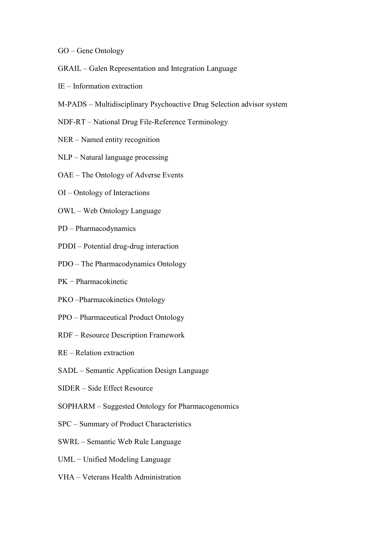- GO Gene Ontology
- GRAIL Galen Representation and Integration Language
- IE Information extraction
- M-PADS Multidisciplinary Psychoactive Drug Selection advisor system
- NDF-RT National Drug File-Reference Terminology
- NER Named entity recognition
- NLP Natural language processing
- OAE The Ontology of Adverse Events
- OI Ontology of Interactions
- OWL Web Ontology Language
- PD Pharmacodynamics
- PDDI Potential drug-drug interaction
- PDO The Pharmacodynamics Ontology
- PK − Pharmacokinetic
- PKO –Pharmacokinetics Ontology
- PPO Pharmaceutical Product Ontology
- RDF Resource Description Framework
- RE Relation extraction
- SADL Semantic Application Design Language
- SIDER Side Effect Resource
- SOPHARM Suggested Ontology for Pharmacogenomics
- SPC Summary of Product Characteristics
- SWRL Semantic Web Rule Language
- UML − Unified Modeling Language
- VHA Veterans Health Administration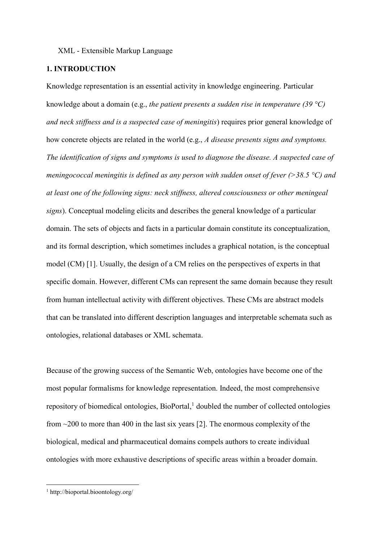#### XML - Extensible Markup Language

## **1. INTRODUCTION**

Knowledge representation is an essential activity in knowledge engineering. Particular knowledge about a domain (e.g., *the patient presents a sudden rise in temperature (39 °C) and neck stiffness and is a suspected case of meningitis*) requires prior general knowledge of how concrete objects are related in the world (e.g., *A disease presents signs and symptoms. The identification of signs and symptoms is used to diagnose the disease. A suspected case of meningococcal meningitis is defined as any person with sudden onset of fever (>38.5 °C) and at least one of the following signs: neck stiffness, altered consciousness or other meningeal signs*). Conceptual modeling elicits and describes the general knowledge of a particular domain. The sets of objects and facts in a particular domain constitute its conceptualization, and its formal description, which sometimes includes a graphical notation, is the conceptual model (CM) [1]. Usually, the design of a CM relies on the perspectives of experts in that specific domain. However, different CMs can represent the same domain because they result from human intellectual activity with different objectives. These CMs are abstract models that can be translated into different description languages and interpretable schemata such as ontologies, relational databases or XML schemata.

Because of the growing success of the Semantic Web, ontologies have become one of the most popular formalisms for knowledge representation. Indeed, the most comprehensive repository of biomedical ontologies, BioPortal,<sup>1</sup> doubled the number of collected ontologies from ~200 to more than 400 in the last six years [2]. The enormous complexity of the biological, medical and pharmaceutical domains compels authors to create individual ontologies with more exhaustive descriptions of specific areas within a broader domain.

**.** 

<sup>1</sup> http://bioportal.bioontology.org/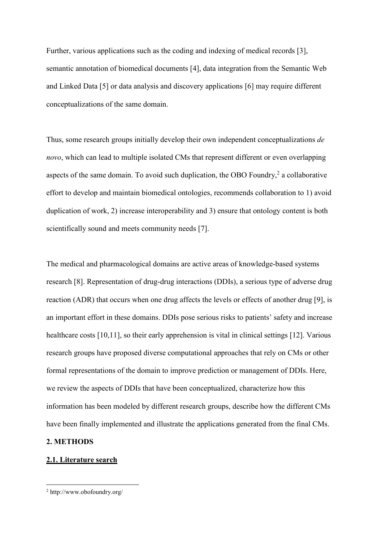Further, various applications such as the coding and indexing of medical records [3], semantic annotation of biomedical documents [4], data integration from the Semantic Web and Linked Data [5] or data analysis and discovery applications [6] may require different conceptualizations of the same domain.

Thus, some research groups initially develop their own independent conceptualizations *de novo*, which can lead to multiple isolated CMs that represent different or even overlapping aspects of the same domain. To avoid such duplication, the OBO Foundry,<sup>2</sup> a collaborative effort to develop and maintain biomedical ontologies, recommends collaboration to 1) avoid duplication of work, 2) increase interoperability and 3) ensure that ontology content is both scientifically sound and meets community needs [7].

The medical and pharmacological domains are active areas of knowledge-based systems research [8]. Representation of drug-drug interactions (DDIs), a serious type of adverse drug reaction (ADR) that occurs when one drug affects the levels or effects of another drug [9], is an important effort in these domains. DDIs pose serious risks to patients' safety and increase healthcare costs [10,11], so their early apprehension is vital in clinical settings [12]. Various research groups have proposed diverse computational approaches that rely on CMs or other formal representations of the domain to improve prediction or management of DDIs. Here, we review the aspects of DDIs that have been conceptualized, characterize how this information has been modeled by different research groups, describe how the different CMs have been finally implemented and illustrate the applications generated from the final CMs.

# **2. METHODS**

**.** 

### **2.1. Literature search**

<sup>2</sup> http://www.obofoundry.org/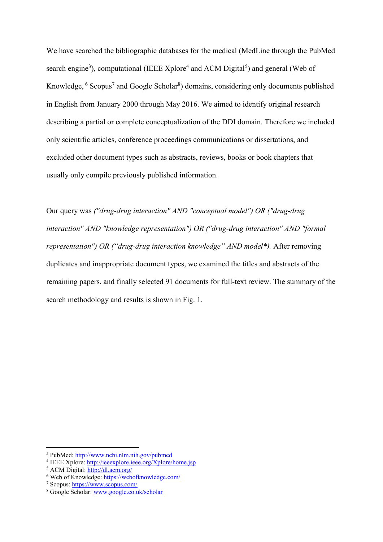We have searched the bibliographic databases for the medical (MedLine through the PubMed search engine<sup>3</sup>), computational (IEEE Xplore<sup>4</sup> and ACM Digital<sup>5</sup>) and general (Web of Knowledge, <sup>6</sup> Scopus<sup>7</sup> and Google Scholar<sup>8</sup>) domains, considering only documents published in English from January 2000 through May 2016. We aimed to identify original research describing a partial or complete conceptualization of the DDI domain. Therefore we included only scientific articles, conference proceedings communications or dissertations, and excluded other document types such as abstracts, reviews, books or book chapters that usually only compile previously published information.

Our query was *("drug-drug interaction" AND "conceptual model") OR ("drug-drug interaction" AND "knowledge representation") OR ("drug-drug interaction" AND "formal representation") OR ("drug-drug interaction knowledge" AND model\*).* After removing duplicates and inappropriate document types, we examined the titles and abstracts of the remaining papers, and finally selected 91 documents for full-text review. The summary of the search methodology and results is shown in Fig. 1.

<sup>&</sup>lt;sup>3</sup> PubMed: <u>http://www.ncbi.nlm.nih.gov/pubmed</u>

<sup>&</sup>lt;sup>4</sup> IEEE Xplore:<http://ieeexplore.ieee.org/Xplore/home.jsp>

<sup>5</sup> ACM Digital:<http://dl.acm.org/>

<sup>&</sup>lt;sup>6</sup> Web of Knowledge:<https://webofknowledge.com/>

<sup>&</sup>lt;sup>7</sup> Scopus:<https://www.scopus.com/>

<sup>&</sup>lt;sup>8</sup> Google Scholar: [www.google.co.uk/scholar](http://www.google.co.uk/scholar)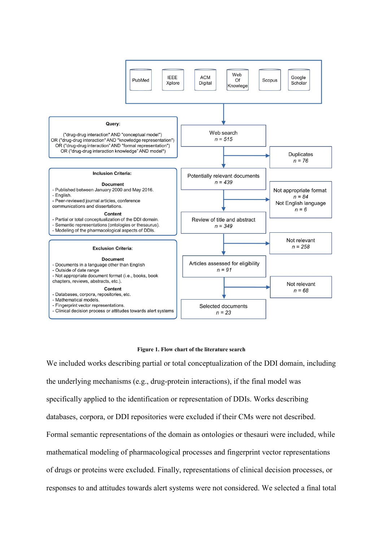

### **Figure 1. Flow chart of the literature search**

We included works describing partial or total conceptualization of the DDI domain, including the underlying mechanisms (e.g., drug-protein interactions), if the final model was specifically applied to the identification or representation of DDIs. Works describing databases, corpora, or DDI repositories were excluded if their CMs were not described. Formal semantic representations of the domain as ontologies or thesauri were included, while mathematical modeling of pharmacological processes and fingerprint vector representations of drugs or proteins were excluded. Finally, representations of clinical decision processes, or responses to and attitudes towards alert systems were not considered. We selected a final total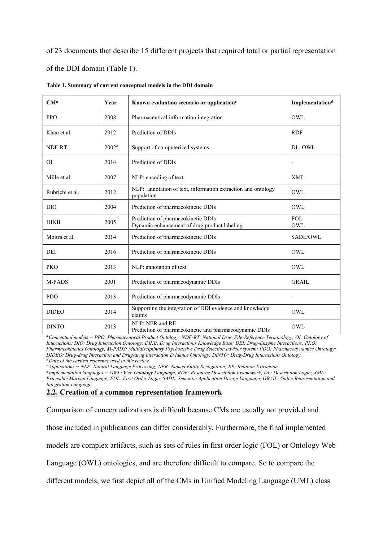of 23 documents that describe 15 different projects that required total or partial representation of the DDI domain (Table 1).

| $CM^a$          | Year              | Known evaluation scenario or application $c$                                       | Implementation <sup><math>d</math></sup> |
|-----------------|-------------------|------------------------------------------------------------------------------------|------------------------------------------|
| <b>PPO</b>      | 2008              | Pharmaceutical information integration                                             | OWL                                      |
| Khan et al.     | 2012              | Prediction of DDIs                                                                 | <b>RDF</b>                               |
| NDF-RT          | 2002 <sup>b</sup> | Support of computerized systems                                                    | DL, OWL                                  |
| O <sub>I</sub>  | 2014              | Prediction of DDIs                                                                 |                                          |
| Mille et al.    | 2007              | NLP: encoding of text                                                              | <b>XML</b>                               |
| Rubrichi et al. | 2012              | NLP: annotation of text, information extraction and ontology<br>population         | OWL                                      |
| <b>DIO</b>      | 2004              | Prediction of pharmacokinetic DDIs                                                 | OWL                                      |
| <b>DIKB</b>     | 2005              | Prediction of pharmacokinetic DDIs<br>Dynamic enhancement of drug product labeling | <b>FOL</b><br><b>OWL</b>                 |
| Moitra et al.   | 2014              | Prediction of pharmacokinetic DDIs                                                 | SADL/OWL                                 |
| DEI             | 2016              | Prediction of pharmacokinetic DDIs                                                 | OWL                                      |
| <b>PKO</b>      | 2013              | NLP: annotation of text                                                            | <b>OWL</b>                               |
| M-PADS          | 2001              | Prediction of pharmacodynamic DDIs                                                 | <b>GRAIL</b>                             |
| <b>PDO</b>      | 2013              | Prediction of pharmacodynamic DDIs                                                 |                                          |
| <b>DIDEO</b>    | 2014              | Supporting the integration of DDI evidence and knowledge<br>claims                 | OWL                                      |
| <b>DINTO</b>    | 2013              | NLP: NER and RE<br>Prediction of pharmacokinetic and pharmacodynamic DDIs          | OWL                                      |

**Table 1. Summary of current conceptual models in the DDI domain** 

*<sup>a</sup>Conceptual models − PPO: Pharmaceutical Product Ontology; NDF-RT: National Drug File-Reference Terminology; OI: Ontology of Interactions; DIO; Drug Interaction Ontology; DIKB; Drug Interactions Knowledge Base; DEI: Drug-Enzyme Interactions; PKO: Pharmacokinetics Ontology; M-PADS: Multidisciplinary Psychoactive Drug Selection advisor system; PDO: Pharmacodynamics Ontology; DIDEO: Drug-drug Interaction and Drug-drug Interaction Evidence Ontology; DINTO: Drug-Drug Interactions Ontology. <sup>b</sup>Date of the earliest reference used in this review.*

*<sup>c</sup>Applications − NLP: Natural Language Processing; NER: Named Entity Recognition; RE: Relation Extraction.*

*<sup>d</sup>Implementation languages − OWL: Web Ontology Language; RDF: Resource Description Framework; DL: Description Logic; XML: Extensible Markup Language; FOL: First Order Logic; SADL: Semantic Application Design Language; GRAIL: Galen Representation and Integration Language.*

#### **2.2. Creation of a common representation framework**

Comparison of conceptualizations is difficult because CMs are usually not provided and

those included in publications can differ considerably. Furthermore, the final implemented

models are complex artifacts, such as sets of rules in first order logic (FOL) or Ontology Web

Language (OWL) ontologies, and are therefore difficult to compare. So to compare the

different models, we first depict all of the CMs in Unified Modeling Language (UML) class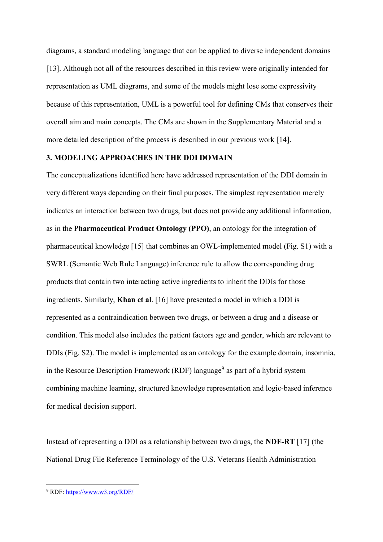diagrams, a standard modeling language that can be applied to diverse independent domains [13]. Although not all of the resources described in this review were originally intended for representation as UML diagrams, and some of the models might lose some expressivity because of this representation, UML is a powerful tool for defining CMs that conserves their overall aim and main concepts. The CMs are shown in the Supplementary Material and a more detailed description of the process is described in our previous work [14].

### **3. MODELING APPROACHES IN THE DDI DOMAIN**

The conceptualizations identified here have addressed representation of the DDI domain in very different ways depending on their final purposes. The simplest representation merely indicates an interaction between two drugs, but does not provide any additional information, as in the **Pharmaceutical Product Ontology (PPO)**, an ontology for the integration of pharmaceutical knowledge [15] that combines an OWL-implemented model (Fig. S1) with a SWRL (Semantic Web Rule Language) inference rule to allow the corresponding drug products that contain two interacting active ingredients to inherit the DDIs for those ingredients. Similarly, **Khan et al**. [16] have presented a model in which a DDI is represented as a contraindication between two drugs, or between a drug and a disease or condition. This model also includes the patient factors age and gender, which are relevant to DDIs (Fig. S2). The model is implemented as an ontology for the example domain, insomnia, in the Resource Description Framework (RDF) language<sup>9</sup> as part of a hybrid system combining machine learning, structured knowledge representation and logic-based inference for medical decision support.

Instead of representing a DDI as a relationship between two drugs, the **NDF-RT** [17] (the National Drug File Reference Terminology of the U.S. Veterans Health Administration

<sup>-&</sup>lt;br><sup>9</sup> RDF: <u>https://www.w3.org/RDF</u>/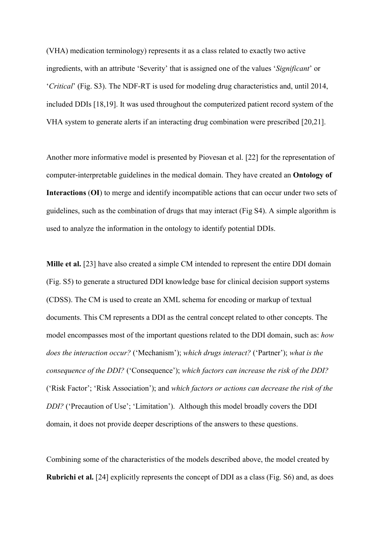(VHA) medication terminology) represents it as a class related to exactly two active ingredients, with an attribute 'Severity' that is assigned one of the values '*Significant*' or '*Critical*' (Fig. S3). The NDF-RT is used for modeling drug characteristics and, until 2014, included DDIs [18,19]. It was used throughout the computerized patient record system of the VHA system to generate alerts if an interacting drug combination were prescribed [20,21].

Another more informative model is presented by Piovesan et al. [22] for the representation of computer-interpretable guidelines in the medical domain. They have created an **Ontology of Interactions** (**OI**) to merge and identify incompatible actions that can occur under two sets of guidelines, such as the combination of drugs that may interact (Fig S4). A simple algorithm is used to analyze the information in the ontology to identify potential DDIs.

**Mille et al.** [23] have also created a simple CM intended to represent the entire DDI domain (Fig. S5) to generate a structured DDI knowledge base for clinical decision support systems (CDSS). The CM is used to create an XML schema for encoding or markup of textual documents. This CM represents a DDI as the central concept related to other concepts. The model encompasses most of the important questions related to the DDI domain, such as: *how does the interaction occur?* ('Mechanism'); *which drugs interact?* ('Partner'); *what is the consequence of the DDI?* ('Consequence'); *which factors can increase the risk of the DDI?* ('Risk Factor'; 'Risk Association'); and *which factors or actions can decrease the risk of the DDI?* ('Precaution of Use'; 'Limitation'). Although this model broadly covers the DDI domain, it does not provide deeper descriptions of the answers to these questions.

Combining some of the characteristics of the models described above, the model created by **Rubrichi et al.** [24] explicitly represents the concept of DDI as a class (Fig. S6) and, as does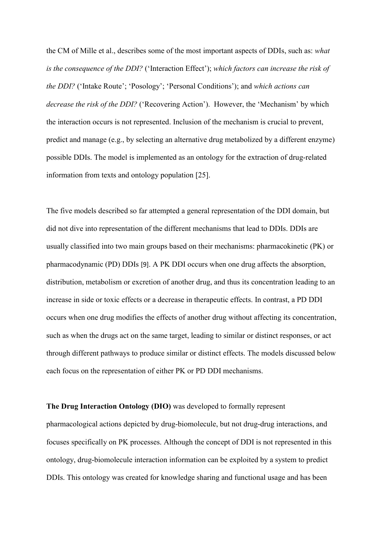the CM of Mille et al., describes some of the most important aspects of DDIs, such as: *what is the consequence of the DDI?* ('Interaction Effect'); *which factors can increase the risk of the DDI?* ('Intake Route'; 'Posology'; 'Personal Conditions'); and *which actions can decrease the risk of the DDI?* ('Recovering Action'). However, the 'Mechanism' by which the interaction occurs is not represented. Inclusion of the mechanism is crucial to prevent, predict and manage (e.g., by selecting an alternative drug metabolized by a different enzyme) possible DDIs. The model is implemented as an ontology for the extraction of drug-related information from texts and ontology population [25].

The five models described so far attempted a general representation of the DDI domain, but did not dive into representation of the different mechanisms that lead to DDIs. DDIs are usually classified into two main groups based on their mechanisms: pharmacokinetic (PK) or pharmacodynamic (PD) DDIs [9]. A PK DDI occurs when one drug affects the absorption, distribution, metabolism or excretion of another drug, and thus its concentration leading to an increase in side or toxic effects or a decrease in therapeutic effects. In contrast, a PD DDI occurs when one drug modifies the effects of another drug without affecting its concentration, such as when the drugs act on the same target, leading to similar or distinct responses, or act through different pathways to produce similar or distinct effects. The models discussed below each focus on the representation of either PK or PD DDI mechanisms.

### **The Drug Interaction Ontology (DIO)** was developed to formally represent

pharmacological actions depicted by drug-biomolecule, but not drug-drug interactions, and focuses specifically on PK processes. Although the concept of DDI is not represented in this ontology, drug-biomolecule interaction information can be exploited by a system to predict DDIs. This ontology was created for knowledge sharing and functional usage and has been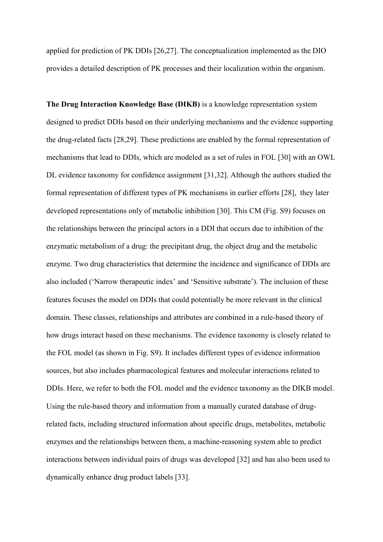applied for prediction of PK DDIs [26,27]. The conceptualization implemented as the DIO provides a detailed description of PK processes and their localization within the organism.

**The Drug Interaction Knowledge Base (DIKB)** is a knowledge representation system designed to predict DDIs based on their underlying mechanisms and the evidence supporting the drug-related facts [28,29]. These predictions are enabled by the formal representation of mechanisms that lead to DDIs, which are modeled as a set of rules in FOL [30] with an OWL DL evidence taxonomy for confidence assignment [31,32]. Although the authors studied the formal representation of different types of PK mechanisms in earlier efforts [28], they later developed representations only of metabolic inhibition [30]. This CM (Fig. S9) focuses on the relationships between the principal actors in a DDI that occurs due to inhibition of the enzymatic metabolism of a drug: the precipitant drug, the object drug and the metabolic enzyme. Two drug characteristics that determine the incidence and significance of DDIs are also included ('Narrow therapeutic index' and 'Sensitive substrate'). The inclusion of these features focuses the model on DDIs that could potentially be more relevant in the clinical domain. These classes, relationships and attributes are combined in a rule-based theory of how drugs interact based on these mechanisms. The evidence taxonomy is closely related to the FOL model (as shown in Fig. S9). It includes different types of evidence information sources, but also includes pharmacological features and molecular interactions related to DDIs. Here, we refer to both the FOL model and the evidence taxonomy as the DIKB model. Using the rule-based theory and information from a manually curated database of drugrelated facts, including structured information about specific drugs, metabolites, metabolic enzymes and the relationships between them, a machine-reasoning system able to predict interactions between individual pairs of drugs was developed [32] and has also been used to dynamically enhance drug product labels [33].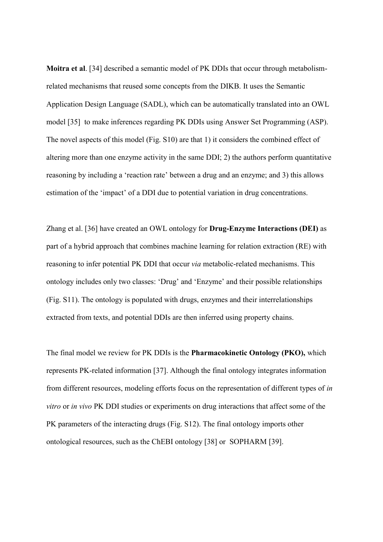**Moitra et al**. [34] described a semantic model of PK DDIs that occur through metabolismrelated mechanisms that reused some concepts from the DIKB. It uses the Semantic Application Design Language (SADL), which can be automatically translated into an OWL model [35] to make inferences regarding PK DDIs using Answer Set Programming (ASP). The novel aspects of this model (Fig. S10) are that 1) it considers the combined effect of altering more than one enzyme activity in the same DDI; 2) the authors perform quantitative reasoning by including a 'reaction rate' between a drug and an enzyme; and 3) this allows estimation of the 'impact' of a DDI due to potential variation in drug concentrations.

Zhang et al. [36] have created an OWL ontology for **Drug-Enzyme Interactions (DEI)** as part of a hybrid approach that combines machine learning for relation extraction (RE) with reasoning to infer potential PK DDI that occur *via* metabolic-related mechanisms. This ontology includes only two classes: 'Drug' and 'Enzyme' and their possible relationships (Fig. S11). The ontology is populated with drugs, enzymes and their interrelationships extracted from texts, and potential DDIs are then inferred using property chains.

The final model we review for PK DDIs is the **Pharmacokinetic Ontology (PKO),** which represents PK-related information [37]. Although the final ontology integrates information from different resources, modeling efforts focus on the representation of different types of *in vitro* or *in vivo* PK DDI studies or experiments on drug interactions that affect some of the PK parameters of the interacting drugs (Fig. S12). The final ontology imports other ontological resources, such as the ChEBI ontology [38] or SOPHARM [39].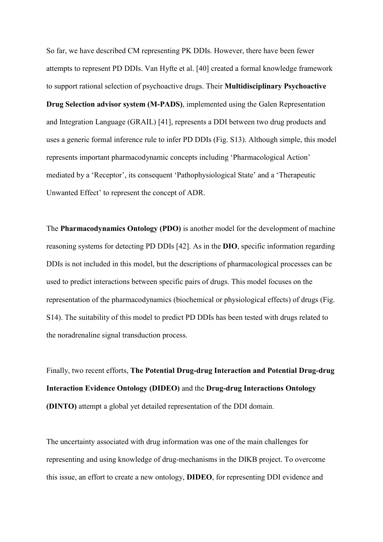So far, we have described CM representing PK DDIs. However, there have been fewer attempts to represent PD DDIs. Van Hyfte et al. [40] created a formal knowledge framework to support rational selection of psychoactive drugs. Their **Multidisciplinary Psychoactive Drug Selection advisor system (M-PADS)**, implemented using the Galen Representation and Integration Language (GRAIL) [41], represents a DDI between two drug products and uses a generic formal inference rule to infer PD DDIs (Fig. S13). Although simple, this model represents important pharmacodynamic concepts including 'Pharmacological Action' mediated by a 'Receptor', its consequent 'Pathophysiological State' and a 'Therapeutic Unwanted Effect' to represent the concept of ADR.

The **Pharmacodynamics Ontology (PDO)** is another model for the development of machine reasoning systems for detecting PD DDIs [42]. As in the **DIO**, specific information regarding DDIs is not included in this model, but the descriptions of pharmacological processes can be used to predict interactions between specific pairs of drugs. This model focuses on the representation of the pharmacodynamics (biochemical or physiological effects) of drugs (Fig. S14). The suitability of this model to predict PD DDIs has been tested with drugs related to the noradrenaline signal transduction process.

Finally, two recent efforts, **The Potential Drug-drug Interaction and Potential Drug-drug Interaction Evidence Ontology (DIDEO)** and the **Drug-drug Interactions Ontology (DINTO)** attempt a global yet detailed representation of the DDI domain.

The uncertainty associated with drug information was one of the main challenges for representing and using knowledge of drug-mechanisms in the DIKB project. To overcome this issue, an effort to create a new ontology, **DIDEO**, for representing DDI evidence and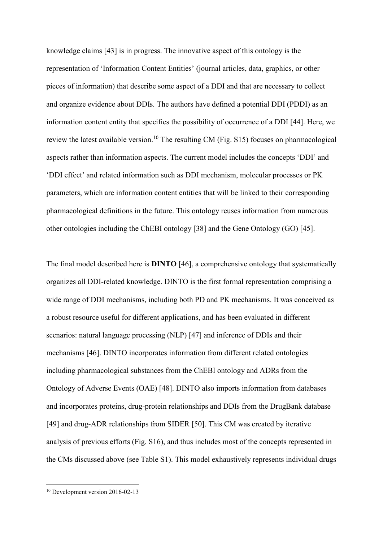knowledge claims [43] is in progress. The innovative aspect of this ontology is the representation of 'Information Content Entities' (journal articles, data, graphics, or other pieces of information) that describe some aspect of a DDI and that are necessary to collect and organize evidence about DDIs. The authors have defined a potential DDI (PDDI) as an information content entity that specifies the possibility of occurrence of a DDI [44]. Here, we review the latest available version.<sup>10</sup> The resulting CM (Fig. S15) focuses on pharmacological aspects rather than information aspects. The current model includes the concepts 'DDI' and 'DDI effect' and related information such as DDI mechanism, molecular processes or PK parameters, which are information content entities that will be linked to their corresponding pharmacological definitions in the future. This ontology reuses information from numerous other ontologies including the ChEBI ontology [38] and the Gene Ontology (GO) [45].

The final model described here is **DINTO** [46], a comprehensive ontology that systematically organizes all DDI-related knowledge. DINTO is the first formal representation comprising a wide range of DDI mechanisms, including both PD and PK mechanisms. It was conceived as a robust resource useful for different applications, and has been evaluated in different scenarios: natural language processing (NLP) [47] and inference of DDIs and their mechanisms [46]. DINTO incorporates information from different related ontologies including pharmacological substances from the ChEBI ontology and ADRs from the Ontology of Adverse Events (OAE) [48]. DINTO also imports information from databases and incorporates proteins, drug-protein relationships and DDIs from the DrugBank database [49] and drug-ADR relationships from SIDER [50]. This CM was created by iterative analysis of previous efforts (Fig. S16), and thus includes most of the concepts represented in the CMs discussed above (see Table S1). This model exhaustively represents individual drugs

**.** 

 $10$  Development version 2016-02-13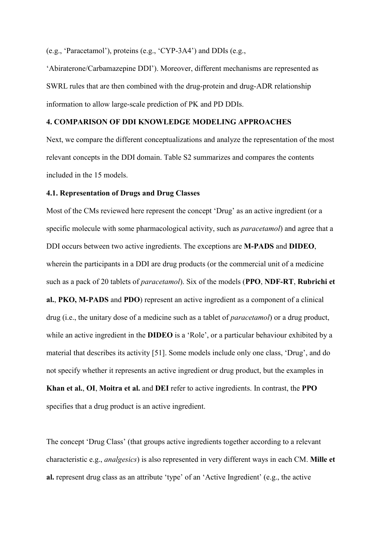(e.g., 'Paracetamol'), proteins (e.g., 'CYP-3A4') and DDIs (e.g.,

'Abiraterone/Carbamazepine DDI'). Moreover, different mechanisms are represented as SWRL rules that are then combined with the drug-protein and drug-ADR relationship information to allow large-scale prediction of PK and PD DDIs.

# **4. COMPARISON OF DDI KNOWLEDGE MODELING APPROACHES**

Next, we compare the different conceptualizations and analyze the representation of the most relevant concepts in the DDI domain. Table S2 summarizes and compares the contents included in the 15 models.

### **4.1. Representation of Drugs and Drug Classes**

Most of the CMs reviewed here represent the concept 'Drug' as an active ingredient (or a specific molecule with some pharmacological activity, such as *paracetamol*) and agree that a DDI occurs between two active ingredients. The exceptions are **M-PADS** and **DIDEO**, wherein the participants in a DDI are drug products (or the commercial unit of a medicine such as a pack of 20 tablets of *paracetamol*). Six of the models (**PPO**, **NDF-RT**, **Rubrichi et al.**, **PKO, M-PADS** and **PDO**) represent an active ingredient as a component of a clinical drug (i.e., the unitary dose of a medicine such as a tablet of *paracetamol*) or a drug product, while an active ingredient in the **DIDEO** is a 'Role', or a particular behaviour exhibited by a material that describes its activity [51]. Some models include only one class, 'Drug', and do not specify whether it represents an active ingredient or drug product, but the examples in **Khan et al.**, **OI**, **Moitra et al.** and **DEI** refer to active ingredients. In contrast, the **PPO** specifies that a drug product is an active ingredient.

The concept 'Drug Class' (that groups active ingredients together according to a relevant characteristic e.g., *analgesics*) is also represented in very different ways in each CM. **Mille et al.** represent drug class as an attribute 'type' of an 'Active Ingredient' (e.g., the active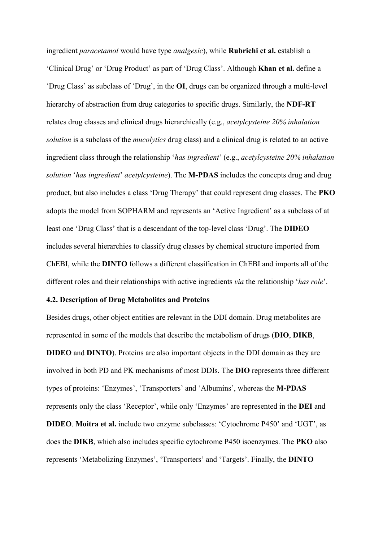ingredient *paracetamol* would have type *analgesic*), while **Rubrichi et al.** establish a 'Clinical Drug' or 'Drug Product' as part of 'Drug Class'. Although **Khan et al.** define a 'Drug Class' as subclass of 'Drug', in the **OI**, drugs can be organized through a multi-level hierarchy of abstraction from drug categories to specific drugs. Similarly, the **NDF-RT** relates drug classes and clinical drugs hierarchically (e.g., *acetylcysteine 20% inhalation solution* is a subclass of the *mucolytics* drug class) and a clinical drug is related to an active ingredient class through the relationship '*has ingredient*' (e.g., *acetylcysteine 20% inhalation solution* '*has ingredient*' *acetylcysteine*). The **M-PDAS** includes the concepts drug and drug product, but also includes a class 'Drug Therapy' that could represent drug classes. The **PKO**  adopts the model from SOPHARM and represents an 'Active Ingredient' as a subclass of at least one 'Drug Class' that is a descendant of the top-level class 'Drug'. The **DIDEO** includes several hierarchies to classify drug classes by chemical structure imported from ChEBI, while the **DINTO** follows a different classification in ChEBI and imports all of the different roles and their relationships with active ingredients *via* the relationship '*has role*'.

### **4.2. Description of Drug Metabolites and Proteins**

Besides drugs, other object entities are relevant in the DDI domain. Drug metabolites are represented in some of the models that describe the metabolism of drugs (**DIO**, **DIKB**, **DIDEO** and **DINTO**). Proteins are also important objects in the DDI domain as they are involved in both PD and PK mechanisms of most DDIs. The **DIO** represents three different types of proteins: 'Enzymes', 'Transporters' and 'Albumins', whereas the **M-PDAS** represents only the class 'Receptor', while only 'Enzymes' are represented in the **DEI** and **DIDEO**. **Moitra et al.** include two enzyme subclasses: 'Cytochrome P450' and 'UGT', as does the **DIKB**, which also includes specific cytochrome P450 isoenzymes. The **PKO** also represents 'Metabolizing Enzymes', 'Transporters' and 'Targets'. Finally, the **DINTO**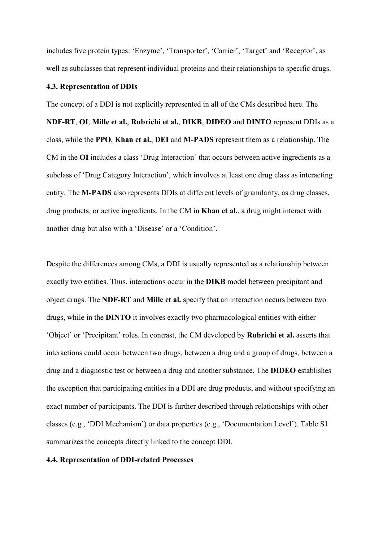includes five protein types: 'Enzyme', 'Transporter', 'Carrier', 'Target' and 'Receptor', as well as subclasses that represent individual proteins and their relationships to specific drugs.

#### **4.3. Representation of DDIs**

The concept of a DDI is not explicitly represented in all of the CMs described here. The **NDF-RT**, **OI**, **Mille et al.**, **Rubrichi et al.**, **DIKB**, **DIDEO** and **DINTO** represent DDIs as a class, while the **PPO**, **Khan et al.**, **DEI** and **M-PADS** represent them as a relationship. The CM in the **OI** includes a class 'Drug Interaction' that occurs between active ingredients as a subclass of 'Drug Category Interaction', which involves at least one drug class as interacting entity. The **M-PADS** also represents DDIs at different levels of granularity, as drug classes, drug products, or active ingredients. In the CM in **Khan et al.**, a drug might interact with another drug but also with a 'Disease' or a 'Condition'.

Despite the differences among CMs, a DDI is usually represented as a relationship between exactly two entities. Thus, interactions occur in the **DIKB** model between precipitant and object drugs. The **NDF-RT** and **Mille et al.** specify that an interaction occurs between two drugs, while in the **DINTO** it involves exactly two pharmacological entities with either 'Object' or 'Precipitant' roles. In contrast, the CM developed by **Rubrichi et al.** asserts that interactions could occur between two drugs, between a drug and a group of drugs, between a drug and a diagnostic test or between a drug and another substance. The **DIDEO** establishes the exception that participating entities in a DDI are drug products, and without specifying an exact number of participants. The DDI is further described through relationships with other classes (e.g., 'DDI Mechanism') or data properties (e.g., 'Documentation Level'). Table S1 summarizes the concepts directly linked to the concept DDI.

#### **4.4. Representation of DDI-related Processes**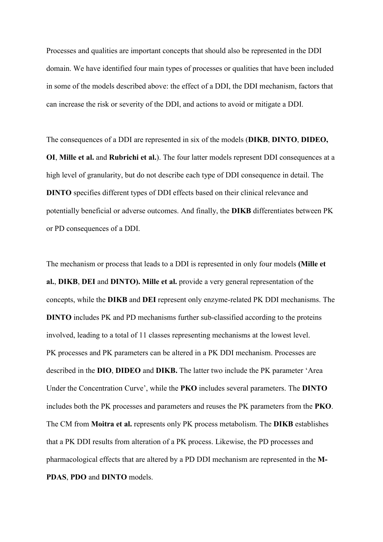Processes and qualities are important concepts that should also be represented in the DDI domain. We have identified four main types of processes or qualities that have been included in some of the models described above: the effect of a DDI, the DDI mechanism, factors that can increase the risk or severity of the DDI, and actions to avoid or mitigate a DDI.

The consequences of a DDI are represented in six of the models (**DIKB**, **DINTO**, **DIDEO, OI**, **Mille et al.** and **Rubrichi et al.**). The four latter models represent DDI consequences at a high level of granularity, but do not describe each type of DDI consequence in detail. The **DINTO** specifies different types of DDI effects based on their clinical relevance and potentially beneficial or adverse outcomes. And finally, the **DIKB** differentiates between PK or PD consequences of a DDI.

The mechanism or process that leads to a DDI is represented in only four models **(Mille et al.**, **DIKB**, **DEI** and **DINTO). Mille et al.** provide a very general representation of the concepts, while the **DIKB** and **DEI** represent only enzyme-related PK DDI mechanisms. The **DINTO** includes PK and PD mechanisms further sub-classified according to the proteins involved, leading to a total of 11 classes representing mechanisms at the lowest level. PK processes and PK parameters can be altered in a PK DDI mechanism. Processes are described in the **DIO**, **DIDEO** and **DIKB.** The latter two include the PK parameter 'Area Under the Concentration Curve', while the **PKO** includes several parameters. The **DINTO** includes both the PK processes and parameters and reuses the PK parameters from the **PKO**. The CM from **Moitra et al.** represents only PK process metabolism. The **DIKB** establishes that a PK DDI results from alteration of a PK process. Likewise, the PD processes and pharmacological effects that are altered by a PD DDI mechanism are represented in the **M-PDAS**, **PDO** and **DINTO** models.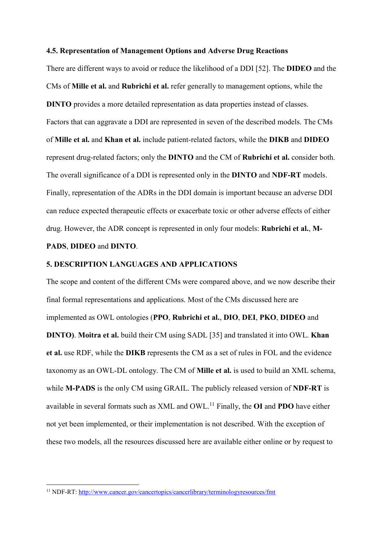#### **4.5. Representation of Management Options and Adverse Drug Reactions**

There are different ways to avoid or reduce the likelihood of a DDI [52]. The **DIDEO** and the CMs of **Mille et al.** and **Rubrichi et al.** refer generally to management options, while the **DINTO** provides a more detailed representation as data properties instead of classes. Factors that can aggravate a DDI are represented in seven of the described models. The CMs of **Mille et al.** and **Khan et al.** include patient-related factors, while the **DIKB** and **DIDEO** represent drug-related factors; only the **DINTO** and the CM of **Rubrichi et al.** consider both. The overall significance of a DDI is represented only in the **DINTO** and **NDF-RT** models. Finally, representation of the ADRs in the DDI domain is important because an adverse DDI can reduce expected therapeutic effects or exacerbate toxic or other adverse effects of either drug. However, the ADR concept is represented in only four models: **Rubrichi et al.**, **M-**

## **PADS**, **DIDEO** and **DINTO**.

**.** 

### **5. DESCRIPTION LANGUAGES AND APPLICATIONS**

The scope and content of the different CMs were compared above, and we now describe their final formal representations and applications. Most of the CMs discussed here are implemented as OWL ontologies (**PPO**, **Rubrichi et al.**, **DIO**, **DEI**, **PKO**, **DIDEO** and **DINTO)**. **Moitra et al.** build their CM using SADL [35] and translated it into OWL. **Khan et al.** use RDF, while the **DIKB** represents the CM as a set of rules in FOL and the evidence taxonomy as an OWL-DL ontology. The CM of **Mille et al.** is used to build an XML schema, while **M-PADS** is the only CM using GRAIL. The publicly released version of **NDF-RT** is available in several formats such as XML and OWL.<sup>11</sup> Finally, the **OI** and **PDO** have either not yet been implemented, or their implementation is not described. With the exception of these two models, all the resources discussed here are available either online or by request to

<sup>&</sup>lt;sup>11</sup> NDF-RT:<http://www.cancer.gov/cancertopics/cancerlibrary/terminologyresources/fmt>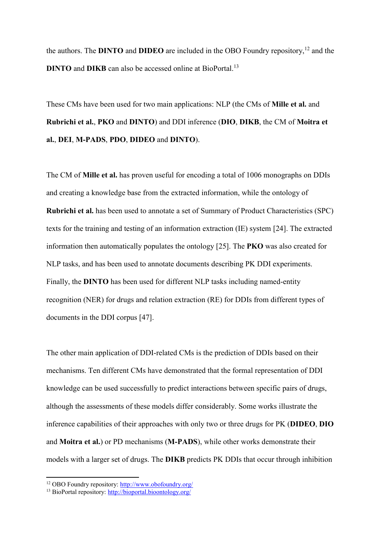the authors. The **DINTO** and **DIDEO** are included in the OBO Foundry repository,<sup>12</sup> and the **DINTO** and **DIKB** can also be accessed online at BioPortal.<sup>13</sup>

These CMs have been used for two main applications: NLP (the CMs of **Mille et al.** and **Rubrichi et al.**, **PKO** and **DINTO**) and DDI inference (**DIO**, **DIKB**, the CM of **Moitra et al.**, **DEI**, **M-PADS**, **PDO**, **DIDEO** and **DINTO**).

The CM of **Mille et al.** has proven useful for encoding a total of 1006 monographs on DDIs and creating a knowledge base from the extracted information, while the ontology of **Rubrichi et al.** has been used to annotate a set of Summary of Product Characteristics (SPC) texts for the training and testing of an information extraction (IE) system [24]. The extracted information then automatically populates the ontology [25]. The **PKO** was also created for NLP tasks, and has been used to annotate documents describing PK DDI experiments. Finally, the **DINTO** has been used for different NLP tasks including named-entity recognition (NER) for drugs and relation extraction (RE) for DDIs from different types of documents in the DDI corpus [47].

The other main application of DDI-related CMs is the prediction of DDIs based on their mechanisms. Ten different CMs have demonstrated that the formal representation of DDI knowledge can be used successfully to predict interactions between specific pairs of drugs, although the assessments of these models differ considerably. Some works illustrate the inference capabilities of their approaches with only two or three drugs for PK (**DIDEO**, **DIO**  and **Moitra et al.**) or PD mechanisms (**M-PADS**), while other works demonstrate their models with a larger set of drugs. The **DIKB** predicts PK DDIs that occur through inhibition

**.** 

<sup>&</sup>lt;sup>12</sup> OBO Foundry repository:<http://www.obofoundry.org/>

<sup>13</sup> BioPortal repository:<http://bioportal.bioontology.org/>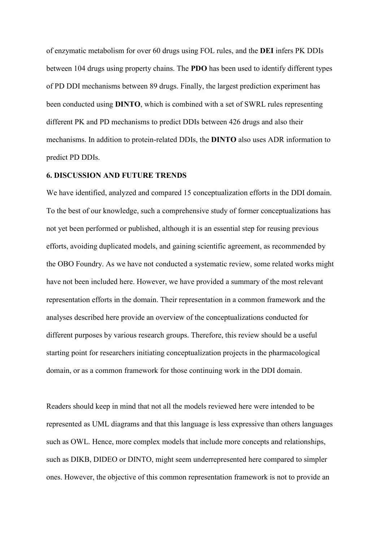of enzymatic metabolism for over 60 drugs using FOL rules, and the **DEI** infers PK DDIs between 104 drugs using property chains. The **PDO** has been used to identify different types of PD DDI mechanisms between 89 drugs. Finally, the largest prediction experiment has been conducted using **DINTO**, which is combined with a set of SWRL rules representing different PK and PD mechanisms to predict DDIs between 426 drugs and also their mechanisms. In addition to protein-related DDIs, the **DINTO** also uses ADR information to predict PD DDIs.

## **6. DISCUSSION AND FUTURE TRENDS**

We have identified, analyzed and compared 15 conceptualization efforts in the DDI domain. To the best of our knowledge, such a comprehensive study of former conceptualizations has not yet been performed or published, although it is an essential step for reusing previous efforts, avoiding duplicated models, and gaining scientific agreement, as recommended by the OBO Foundry. As we have not conducted a systematic review, some related works might have not been included here. However, we have provided a summary of the most relevant representation efforts in the domain. Their representation in a common framework and the analyses described here provide an overview of the conceptualizations conducted for different purposes by various research groups. Therefore, this review should be a useful starting point for researchers initiating conceptualization projects in the pharmacological domain, or as a common framework for those continuing work in the DDI domain.

Readers should keep in mind that not all the models reviewed here were intended to be represented as UML diagrams and that this language is less expressive than others languages such as OWL. Hence, more complex models that include more concepts and relationships, such as DIKB, DIDEO or DINTO, might seem underrepresented here compared to simpler ones. However, the objective of this common representation framework is not to provide an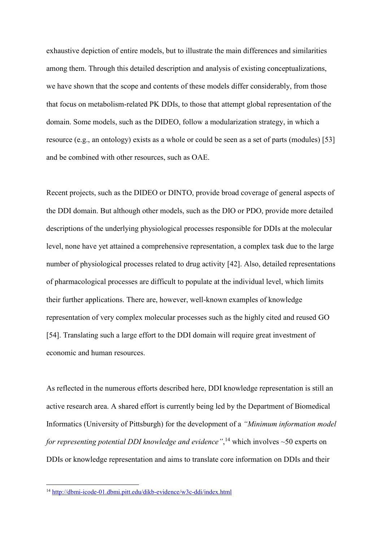exhaustive depiction of entire models, but to illustrate the main differences and similarities among them. Through this detailed description and analysis of existing conceptualizations, we have shown that the scope and contents of these models differ considerably, from those that focus on metabolism-related PK DDIs, to those that attempt global representation of the domain. Some models, such as the DIDEO, follow a modularization strategy, in which a resource (e.g., an ontology) exists as a whole or could be seen as a set of parts (modules) [53] and be combined with other resources, such as OAE.

Recent projects, such as the DIDEO or DINTO, provide broad coverage of general aspects of the DDI domain. But although other models, such as the DIO or PDO, provide more detailed descriptions of the underlying physiological processes responsible for DDIs at the molecular level, none have yet attained a comprehensive representation, a complex task due to the large number of physiological processes related to drug activity [42]. Also, detailed representations of pharmacological processes are difficult to populate at the individual level, which limits their further applications. There are, however, well-known examples of knowledge representation of very complex molecular processes such as the highly cited and reused GO [54]. Translating such a large effort to the DDI domain will require great investment of economic and human resources.

As reflected in the numerous efforts described here, DDI knowledge representation is still an active research area. A shared effort is currently being led by the Department of Biomedical Informatics (University of Pittsburgh) for the development of a *"Minimum information model for representing potential DDI knowledge and evidence"*, <sup>14</sup> which involves ~50 experts on DDIs or knowledge representation and aims to translate core information on DDIs and their

**.** 

<sup>&</sup>lt;sup>14</sup> <http://dbmi-icode-01.dbmi.pitt.edu/dikb-evidence/w3c-ddi/index.html>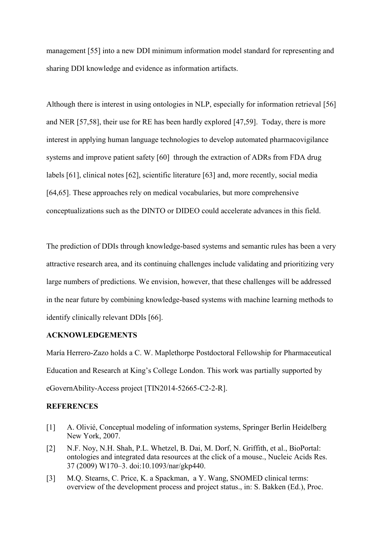management [55] into a new DDI minimum information model standard for representing and sharing DDI knowledge and evidence as information artifacts.

Although there is interest in using ontologies in NLP, especially for information retrieval [56] and NER [57,58], their use for RE has been hardly explored [47,59]. Today, there is more interest in applying human language technologies to develop automated pharmacovigilance systems and improve patient safety [60] through the extraction of ADRs from FDA drug labels [61], clinical notes [62], scientific literature [63] and, more recently, social media [64,65]. These approaches rely on medical vocabularies, but more comprehensive conceptualizations such as the DINTO or DIDEO could accelerate advances in this field.

The prediction of DDIs through knowledge-based systems and semantic rules has been a very attractive research area, and its continuing challenges include validating and prioritizing very large numbers of predictions. We envision, however, that these challenges will be addressed in the near future by combining knowledge-based systems with machine learning methods to identify clinically relevant DDIs [66].

# **ACKNOWLEDGEMENTS**

María Herrero-Zazo holds a C. W. Maplethorpe Postdoctoral Fellowship for Pharmaceutical Education and Research at King's College London. This work was partially supported by eGovernAbility-Access project [TIN2014-52665-C2-2-R].

#### **REFERENCES**

- [1] A. Olivié, Conceptual modeling of information systems, Springer Berlin Heidelberg New York, 2007.
- [2] N.F. Noy, N.H. Shah, P.L. Whetzel, B. Dai, M. Dorf, N. Griffith, et al., BioPortal: ontologies and integrated data resources at the click of a mouse., Nucleic Acids Res. 37 (2009) W170–3. doi:10.1093/nar/gkp440.
- [3] M.Q. Stearns, C. Price, K. a Spackman, a Y. Wang, SNOMED clinical terms: overview of the development process and project status., in: S. Bakken (Ed.), Proc.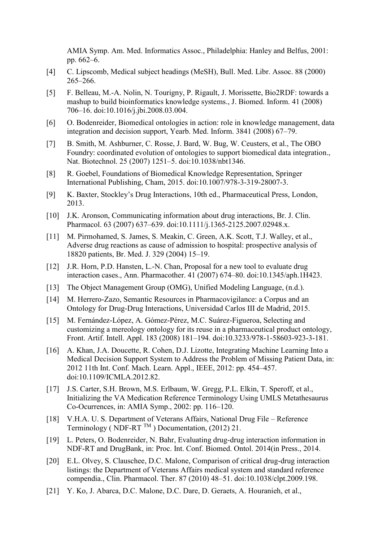AMIA Symp. Am. Med. Informatics Assoc., Philadelphia: Hanley and Belfus, 2001: pp. 662–6.

- [4] C. Lipscomb, Medical subject headings (MeSH), Bull. Med. Libr. Assoc. 88 (2000) 265–266.
- [5] F. Belleau, M.-A. Nolin, N. Tourigny, P. Rigault, J. Morissette, Bio2RDF: towards a mashup to build bioinformatics knowledge systems., J. Biomed. Inform. 41 (2008) 706–16. doi:10.1016/j.jbi.2008.03.004.
- [6] O. Bodenreider, Biomedical ontologies in action: role in knowledge management, data integration and decision support, Yearb. Med. Inform. 3841 (2008) 67–79.
- [7] B. Smith, M. Ashburner, C. Rosse, J. Bard, W. Bug, W. Ceusters, et al., The OBO Foundry: coordinated evolution of ontologies to support biomedical data integration., Nat. Biotechnol. 25 (2007) 1251–5. doi:10.1038/nbt1346.
- [8] R. Goebel, Foundations of Biomedical Knowledge Representation, Springer International Publishing, Cham, 2015. doi:10.1007/978-3-319-28007-3.
- [9] K. Baxter, Stockley's Drug Interactions, 10th ed., Pharmaceutical Press, London, 2013.
- [10] J.K. Aronson, Communicating information about drug interactions, Br. J. Clin. Pharmacol. 63 (2007) 637–639. doi:10.1111/j.1365-2125.2007.02948.x.
- [11] M. Pirmohamed, S. James, S. Meakin, C. Green, A.K. Scott, T.J. Walley, et al., Adverse drug reactions as cause of admission to hospital: prospective analysis of 18820 patients, Br. Med. J. 329 (2004) 15–19.
- [12] J.R. Horn, P.D. Hansten, L.-N. Chan, Proposal for a new tool to evaluate drug interaction cases., Ann. Pharmacother. 41 (2007) 674–80. doi:10.1345/aph.1H423.
- [13] The Object Management Group (OMG), Unified Modeling Language, (n.d.).
- [14] M. Herrero-Zazo, Semantic Resources in Pharmacovigilance: a Corpus and an Ontology for Drug-Drug Interactions, Universidad Carlos III de Madrid, 2015.
- [15] M. Fernández-López, A. Gómez-Pérez, M.C. Suárez-Figueroa, Selecting and customizing a mereology ontology for its reuse in a pharmaceutical product ontology, Front. Artif. Intell. Appl. 183 (2008) 181–194. doi:10.3233/978-1-58603-923-3-181.
- [16] A. Khan, J.A. Doucette, R. Cohen, D.J. Lizotte, Integrating Machine Learning Into a Medical Decision Support System to Address the Problem of Missing Patient Data, in: 2012 11th Int. Conf. Mach. Learn. Appl., IEEE, 2012: pp. 454–457. doi:10.1109/ICMLA.2012.82.
- [17] J.S. Carter, S.H. Brown, M.S. Erlbaum, W. Gregg, P.L. Elkin, T. Speroff, et al., Initializing the VA Medication Reference Terminology Using UMLS Metathesaurus Co-Ocurrences, in: AMIA Symp., 2002: pp. 116–120.
- [18] V.H.A. U. S. Department of Veterans Affairs, National Drug File Reference Terminology ( NDF-RT  $^{TM}$  ) Documentation, (2012) 21.
- [19] L. Peters, O. Bodenreider, N. Bahr, Evaluating drug-drug interaction information in NDF-RT and DrugBank, in: Proc. Int. Conf. Biomed. Ontol. 2014(in Press., 2014.
- [20] E.L. Olvey, S. Clauschee, D.C. Malone, Comparison of critical drug-drug interaction listings: the Department of Veterans Affairs medical system and standard reference compendia., Clin. Pharmacol. Ther. 87 (2010) 48–51. doi:10.1038/clpt.2009.198.
- [21] Y. Ko, J. Abarca, D.C. Malone, D.C. Dare, D. Geraets, A. Houranieh, et al.,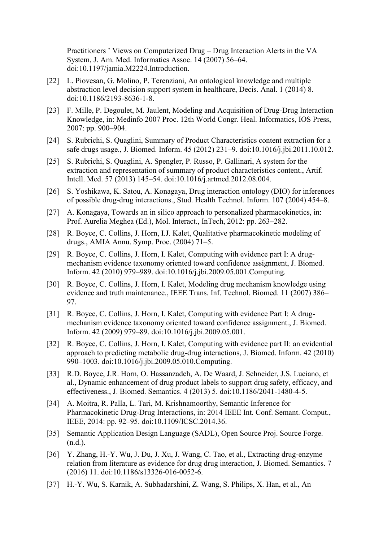Practitioners ' Views on Computerized Drug – Drug Interaction Alerts in the VA System, J. Am. Med. Informatics Assoc. 14 (2007) 56–64. doi:10.1197/jamia.M2224.Introduction.

- [22] L. Piovesan, G. Molino, P. Terenziani, An ontological knowledge and multiple abstraction level decision support system in healthcare, Decis. Anal. 1 (2014) 8. doi:10.1186/2193-8636-1-8.
- [23] F. Mille, P. Degoulet, M. Jaulent, Modeling and Acquisition of Drug-Drug Interaction Knowledge, in: Medinfo 2007 Proc. 12th World Congr. Heal. Informatics, IOS Press, 2007: pp. 900–904.
- [24] S. Rubrichi, S. Quaglini, Summary of Product Characteristics content extraction for a safe drugs usage., J. Biomed. Inform. 45 (2012) 231–9. doi:10.1016/j.jbi.2011.10.012.
- [25] S. Rubrichi, S. Quaglini, A. Spengler, P. Russo, P. Gallinari, A system for the extraction and representation of summary of product characteristics content., Artif. Intell. Med. 57 (2013) 145–54. doi:10.1016/j.artmed.2012.08.004.
- [26] S. Yoshikawa, K. Satou, A. Konagaya, Drug interaction ontology (DIO) for inferences of possible drug-drug interactions., Stud. Health Technol. Inform. 107 (2004) 454–8.
- [27] A. Konagaya, Towards an in silico approach to personalized pharmacokinetics, in: Prof. Aurelia Meghea (Ed.), Mol. Interact., InTech, 2012: pp. 263–282.
- [28] R. Boyce, C. Collins, J. Horn, I.J. Kalet, Qualitative pharmacokinetic modeling of drugs., AMIA Annu. Symp. Proc. (2004) 71–5.
- [29] R. Boyce, C. Collins, J. Horn, I. Kalet, Computing with evidence part I: A drugmechanism evidence taxonomy oriented toward confidence assignment, J. Biomed. Inform. 42 (2010) 979–989. doi:10.1016/j.jbi.2009.05.001.Computing.
- [30] R. Boyce, C. Collins, J. Horn, I. Kalet, Modeling drug mechanism knowledge using evidence and truth maintenance., IEEE Trans. Inf. Technol. Biomed. 11 (2007) 386– 97.
- [31] R. Boyce, C. Collins, J. Horn, I. Kalet, Computing with evidence Part I: A drugmechanism evidence taxonomy oriented toward confidence assignment., J. Biomed. Inform. 42 (2009) 979–89. doi:10.1016/j.jbi.2009.05.001.
- [32] R. Boyce, C. Collins, J. Horn, I. Kalet, Computing with evidence part II: an evidential approach to predicting metabolic drug-drug interactions, J. Biomed. Inform. 42 (2010) 990–1003. doi:10.1016/j.jbi.2009.05.010.Computing.
- [33] R.D. Boyce, J.R. Horn, O. Hassanzadeh, A. De Waard, J. Schneider, J.S. Luciano, et al., Dynamic enhancement of drug product labels to support drug safety, efficacy, and effectiveness., J. Biomed. Semantics. 4 (2013) 5. doi:10.1186/2041-1480-4-5.
- [34] A. Moitra, R. Palla, L. Tari, M. Krishnamoorthy, Semantic Inference for Pharmacokinetic Drug-Drug Interactions, in: 2014 IEEE Int. Conf. Semant. Comput., IEEE, 2014: pp. 92–95. doi:10.1109/ICSC.2014.36.
- [35] Semantic Application Design Language (SADL), Open Source Proj. Source Forge. (n.d.).
- [36] Y. Zhang, H.-Y. Wu, J. Du, J. Xu, J. Wang, C. Tao, et al., Extracting drug-enzyme relation from literature as evidence for drug drug interaction, J. Biomed. Semantics. 7 (2016) 11. doi:10.1186/s13326-016-0052-6.
- [37] H.-Y. Wu, S. Karnik, A. Subhadarshini, Z. Wang, S. Philips, X. Han, et al., An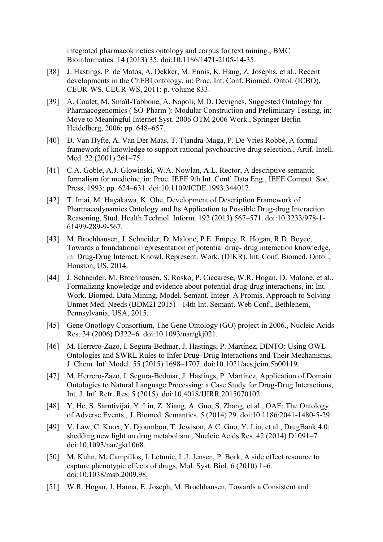integrated pharmacokinetics ontology and corpus for text mining., BMC Bioinformatics. 14 (2013) 35. doi:10.1186/1471-2105-14-35.

- [38] J. Hastings, P. de Matos, A. Dekker, M. Ennis, K. Haug, Z. Josephs, et al., Recent developments in the ChEBI ontology, in: Proc. Int. Conf. Biomed. Ontol. (ICBO), CEUR-WS, CEUR-WS, 2011: p. volume 833.
- [39] A. Coulet, M. Smaïl-Tabbone, A. Napoli, M.D. Devignes, Suggested Ontology for Pharmacogenomics ( SO-Pharm ): Modular Construction and Preliminary Testing, in: Move to Meaningful Internet Syst. 2006 OTM 2006 Work., Springer Berlin Heidelberg, 2006: pp. 648–657.
- [40] D. Van Hyfte, A. Van Der Maas, T. Tjandra-Maga, P. De Vries Robbé, A formal framework of knowledge to support rational psychoactive drug selection., Artif. Intell. Med. 22 (2001) 261–75.
- [41] C.A. Goble, A.J. Glowinski, W.A. Nowlan, A.L. Rector, A descriptive semantic formalism for medicine, in: Proc. IEEE 9th Int. Conf. Data Eng., IEEE Comput. Soc. Press, 1993: pp. 624–631. doi:10.1109/ICDE.1993.344017.
- [42] T. Imai, M. Hayakawa, K. Ohe, Development of Description Framework of Pharmacodynamics Ontology and Its Application to Possible Drug-drug Interaction Reasoning, Stud. Health Technol. Inform. 192 (2013) 567–571. doi:10.3233/978-1- 61499-289-9-567.
- [43] M. Brochhausen, J. Schneider, D. Malone, P.E. Empey, R. Hogan, R.D. Boyce, Towards a foundational representation of potential drug- drug interaction knowledge, in: Drug-Drug Interact. Knowl. Represent. Work. (DIKR). Int. Conf. Biomed. Ontol., Houston, US, 2014.
- [44] J. Schneider, M. Brochhausen, S. Rosko, P. Ciccarese, W.R. Hogan, D. Malone, et al., Formalizing knowledge and evidence about potential drug-drug interactions, in: Int. Work. Biomed. Data Mining, Model. Semant. Integr. A Promis. Approach to Solving Unmet Med. Needs (BDM2I 2015) - 14th Int. Semant. Web Conf., Bethlehem, Pennsylvania, USA, 2015.
- [45] Gene Onotlogy Consortium, The Gene Ontology (GO) project in 2006., Nucleic Acids Res. 34 (2006) D322–6. doi:10.1093/nar/gkj021.
- [46] M. Herrero-Zazo, I. Segura-Bedmar, J. Hastings, P. Martínez, DINTO: Using OWL Ontologies and SWRL Rules to Infer Drug–Drug Interactions and Their Mechanisms, J. Chem. Inf. Model. 55 (2015) 1698–1707. doi:10.1021/acs.jcim.5b00119.
- [47] M. Herrero-Zazo, I. Segura-Bedmar, J. Hastings, P. Martínez, Application of Domain Ontologies to Natural Language Processing: a Case Study for Drug-Drug Interactions, Int. J. Inf. Retr. Res. 5 (2015). doi:10.4018/IJIRR.2015070102.
- [48] Y. He, S. Sarntivijai, Y. Lin, Z. Xiang, A. Guo, S. Zhang, et al., OAE: The Ontology of Adverse Events., J. Biomed. Semantics. 5 (2014) 29. doi:10.1186/2041-1480-5-29.
- [49] V. Law, C. Knox, Y. Djoumbou, T. Jewison, A.C. Guo, Y. Liu, et al., DrugBank 4.0: shedding new light on drug metabolism., Nucleic Acids Res. 42 (2014) D1091–7. doi:10.1093/nar/gkt1068.
- [50] M. Kuhn, M. Campillos, I. Letunic, L.J. Jensen, P. Bork, A side effect resource to capture phenotypic effects of drugs, Mol. Syst. Biol. 6 (2010) 1–6. doi:10.1038/msb.2009.98.
- [51] W.R. Hogan, J. Hanna, E. Joseph, M. Brochhausen, Towards a Consistent and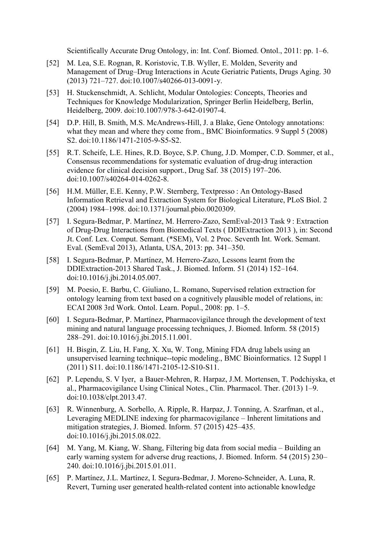Scientifically Accurate Drug Ontology, in: Int. Conf. Biomed. Ontol., 2011: pp. 1–6.

- [52] M. Lea, S.E. Rognan, R. Koristovic, T.B. Wyller, E. Molden, Severity and Management of Drug–Drug Interactions in Acute Geriatric Patients, Drugs Aging. 30 (2013) 721–727. doi:10.1007/s40266-013-0091-y.
- [53] H. Stuckenschmidt, A. Schlicht, Modular Ontologies: Concepts, Theories and Techniques for Knowledge Modularization, Springer Berlin Heidelberg, Berlin, Heidelberg, 2009. doi:10.1007/978-3-642-01907-4.
- [54] D.P. Hill, B. Smith, M.S. McAndrews-Hill, J. a Blake, Gene Ontology annotations: what they mean and where they come from., BMC Bioinformatics. 9 Suppl 5 (2008) S2. doi:10.1186/1471-2105-9-S5-S2.
- [55] R.T. Scheife, L.E. Hines, R.D. Boyce, S.P. Chung, J.D. Momper, C.D. Sommer, et al., Consensus recommendations for systematic evaluation of drug-drug interaction evidence for clinical decision support., Drug Saf. 38 (2015) 197–206. doi:10.1007/s40264-014-0262-8.
- [56] H.M. Müller, E.E. Kenny, P.W. Sternberg, Textpresso : An Ontology-Based Information Retrieval and Extraction System for Biological Literature, PLoS Biol. 2 (2004) 1984–1998. doi:10.1371/journal.pbio.0020309.
- [57] I. Segura-Bedmar, P. Martínez, M. Herrero-Zazo, SemEval-2013 Task 9 : Extraction of Drug-Drug Interactions from Biomedical Texts ( DDIExtraction 2013 ), in: Second Jt. Conf. Lex. Comput. Semant. (\*SEM), Vol. 2 Proc. Seventh Int. Work. Semant. Eval. (SemEval 2013), Atlanta, USA, 2013: pp. 341–350.
- [58] I. Segura-Bedmar, P. Martínez, M. Herrero-Zazo, Lessons learnt from the DDIExtraction-2013 Shared Task., J. Biomed. Inform. 51 (2014) 152–164. doi:10.1016/j.jbi.2014.05.007.
- [59] M. Poesio, E. Barbu, C. Giuliano, L. Romano, Supervised relation extraction for ontology learning from text based on a cognitively plausible model of relations, in: ECAI 2008 3rd Work. Ontol. Learn. Popul., 2008: pp. 1–5.
- [60] I. Segura-Bedmar, P. Martínez, Pharmacovigilance through the development of text mining and natural language processing techniques, J. Biomed. Inform. 58 (2015) 288–291. doi:10.1016/j.jbi.2015.11.001.
- [61] H. Bisgin, Z. Liu, H. Fang, X. Xu, W. Tong, Mining FDA drug labels using an unsupervised learning technique--topic modeling., BMC Bioinformatics. 12 Suppl 1 (2011) S11. doi:10.1186/1471-2105-12-S10-S11.
- [62] P. Lependu, S. V Iyer, a Bauer-Mehren, R. Harpaz, J.M. Mortensen, T. Podchiyska, et al., Pharmacovigilance Using Clinical Notes., Clin. Pharmacol. Ther. (2013) 1–9. doi:10.1038/clpt.2013.47.
- [63] R. Winnenburg, A. Sorbello, A. Ripple, R. Harpaz, J. Tonning, A. Szarfman, et al., Leveraging MEDLINE indexing for pharmacovigilance – Inherent limitations and mitigation strategies, J. Biomed. Inform. 57 (2015) 425–435. doi:10.1016/j.jbi.2015.08.022.
- [64] M. Yang, M. Kiang, W. Shang, Filtering big data from social media Building an early warning system for adverse drug reactions, J. Biomed. Inform. 54 (2015) 230– 240. doi:10.1016/j.jbi.2015.01.011.
- [65] P. Martínez, J.L. Martínez, I. Segura-Bedmar, J. Moreno-Schneider, A. Luna, R. Revert, Turning user generated health-related content into actionable knowledge